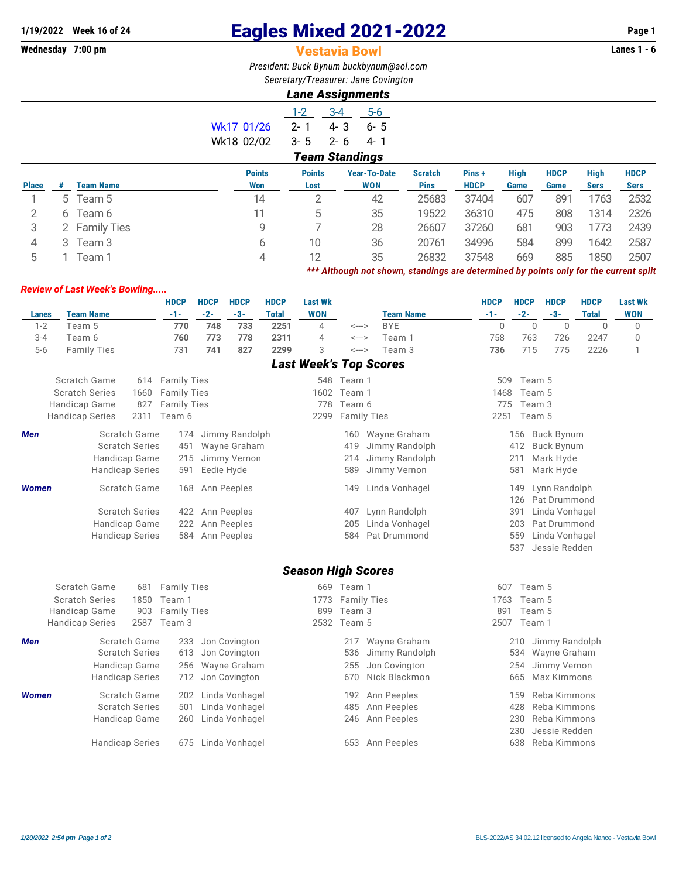## **1/19/2022** Week 16 of 24 **Eagles Mixed 2021-2022** Page 1<br>**Wednesday 7:00 pm Page 1 Vestavia Bowl Page 1 Vestavia Bowl**

## **Vestavia Bowl**

*President: Buck Bynum [buckbynum@aol.com](mailto:buckbynum@aol.com) Secretary/Treasurer: Jane Covington*

## *Lane Assignments*

|            | $1 - 2$               | $A - A$         | $5-6$ |  |  |  |  |  |  |  |  |  |
|------------|-----------------------|-----------------|-------|--|--|--|--|--|--|--|--|--|
| Wk17 01/26 | $2 - 1$               | 4-3             | .6- 5 |  |  |  |  |  |  |  |  |  |
| Wk18 02/02 |                       | $3 - 5$ $2 - 6$ | 4-1   |  |  |  |  |  |  |  |  |  |
|            | <b>Team Standings</b> |                 |       |  |  |  |  |  |  |  |  |  |
|            |                       |                 |       |  |  |  |  |  |  |  |  |  |

|              |    |                  | <b>Points</b> | <b>Points</b> | <b>Year-To-Date</b> | <b>Scratch</b> | Pins+       | High | <b>HDCP</b> | High        | <b>HDCP</b> |
|--------------|----|------------------|---------------|---------------|---------------------|----------------|-------------|------|-------------|-------------|-------------|
| <b>Place</b> |    | <b>Team Name</b> | Won           | Lost          | <b>WON</b>          | <b>Pins</b>    | <b>HDCP</b> | Game | Game        | <b>Sers</b> | <b>Sers</b> |
|              | 5. | Team 5           | 14            |               | 42                  | 25683          | 37404       | 607  | 891         | 1763        | 2532        |
|              |    | Team 6           |               |               | 35                  | 19522          | 36310       | 475  | 808         | 1314        | 2326        |
|              |    | 2 Family Ties    | g             |               | 28                  | 26607          | 37260       | 681  | 903         | 1773        | 2439        |
| 4            | 3  | Team 3           | b             | 10            | 36                  | 20761          | 34996       | 584  | 899         | 1642        | 2587        |
|              |    | Feam 1           | 4             |               | 35                  | 26832          | 37548       | 669  | 885         | 1850        | 2507        |

*\*\*\* Although not shown, standings are determined by points only for the current split*

## *Review of Last Week's Bowling.....*

|              |                        |      | <b>HDCP</b>        | <b>HDCP</b> | <b>HDCP</b>     | <b>HDCP</b>  | <b>Last Wk</b>            |                            |                               | <b>HDCP</b> | <b>HDCP</b> | <b>HDCP</b>        | <b>HDCP</b>  | <b>Last Wk</b> |
|--------------|------------------------|------|--------------------|-------------|-----------------|--------------|---------------------------|----------------------------|-------------------------------|-------------|-------------|--------------------|--------------|----------------|
| <b>Lanes</b> | <b>Team Name</b>       |      | $-1-$              | $-2-$       | $-3-$           | <b>Total</b> | <b>WON</b>                |                            | <b>Team Name</b>              | $-1-$       | $-2-$       | $-3-$              | <b>Total</b> | <b>WON</b>     |
| $1 - 2$      | Team 5                 |      | 770                | 748         | 733             | 2251         | $\overline{4}$            | $\leftarrow$ $\rightarrow$ | <b>BYE</b>                    | $\Omega$    | $\Omega$    | $\Omega$           | $\Omega$     | $\mathbf 0$    |
| $3 - 4$      | Team 6                 |      | 760                | 773         | 778             | 2311         | $\overline{4}$            | <--->                      | Team 1                        | 758         | 763         | 726                | 2247         | $\mathbf 0$    |
| $5-6$        | <b>Family Ties</b>     |      | 731                | 741         | 827             | 2299         | 3                         | <--->                      | Team 3                        | 736         | 715         | 775                | 2226         | 1              |
|              |                        |      |                    |             |                 |              |                           |                            | <b>Last Week's Top Scores</b> |             |             |                    |              |                |
|              | Scratch Game           | 614  | <b>Family Ties</b> |             |                 |              |                           | 548 Team 1                 |                               |             | 509 Team 5  |                    |              |                |
|              | <b>Scratch Series</b>  | 1660 | <b>Family Ties</b> |             |                 |              |                           | 1602 Team 1                |                               | 1468        | Team 5      |                    |              |                |
|              | Handicap Game          | 827  | <b>Family Ties</b> |             |                 |              | 778                       | Team 6                     |                               | 775         | Team 3      |                    |              |                |
|              | <b>Handicap Series</b> | 2311 | Team 6             |             |                 |              | 2299                      | <b>Family Ties</b>         |                               | 2251        | Team 5      |                    |              |                |
| Men          | Scratch Game           |      | 174                |             | Jimmy Randolph  |              |                           | 160                        | Wayne Graham                  |             | 156         | <b>Buck Bynum</b>  |              |                |
|              | <b>Scratch Series</b>  |      | 451                |             | Wayne Graham    |              |                           | 419                        | Jimmy Randolph                |             | 412         | <b>Buck Bynum</b>  |              |                |
|              | Handicap Game          |      | 215                |             | Jimmy Vernon    |              |                           | 214                        | Jimmy Randolph                |             | 211         | Mark Hyde          |              |                |
|              | <b>Handicap Series</b> |      | 591                | Eedie Hyde  |                 |              |                           | 589                        | Jimmy Vernon                  |             | 581         | Mark Hyde          |              |                |
| <b>Women</b> | Scratch Game           |      | 168                |             | Ann Peeples     |              |                           | 149                        | Linda Vonhagel                |             | 149         | Lynn Randolph      |              |                |
|              |                        |      |                    |             |                 |              |                           |                            |                               |             | 126         | Pat Drummond       |              |                |
|              | <b>Scratch Series</b>  |      |                    |             | 422 Ann Peeples |              |                           | 407                        | Lynn Randolph                 |             | 391         | Linda Vonhagel     |              |                |
|              | Handicap Game          |      | 222                |             | Ann Peeples     |              |                           | 205                        | Linda Vonhagel                |             | 203         | Pat Drummond       |              |                |
|              | <b>Handicap Series</b> |      | 584                |             | Ann Peeples     |              |                           | 584                        | Pat Drummond                  |             | 559         | Linda Vonhagel     |              |                |
|              |                        |      |                    |             |                 |              |                           |                            |                               |             | 537         | Jessie Redden      |              |                |
|              |                        |      |                    |             |                 |              | <b>Season High Scores</b> |                            |                               |             |             |                    |              |                |
|              | Scratch Game           | 681  | <b>Family Ties</b> |             |                 |              |                           | 669 Team 1                 |                               | 607         | Team 5      |                    |              |                |
|              | <b>Scratch Series</b>  | 1850 | Team 1             |             |                 |              | 1773                      | <b>Family Ties</b>         |                               | 1763        | Team 5      |                    |              |                |
|              | Handicap Game          | 903  | <b>Family Ties</b> |             |                 |              | 899                       | Team 3                     |                               | 891         | Team 5      |                    |              |                |
|              | <b>Handicap Series</b> | 2587 | Team 3             |             |                 |              |                           | 2532 Team 5                |                               |             | 2507 Team 1 |                    |              |                |
| Men          | Scratch Game           |      | 233                |             | Jon Covington   |              |                           | 217                        | Wayne Graham                  |             | 210         | Jimmy Randolph     |              |                |
|              | <b>Scratch Series</b>  |      | 613                |             | Jon Covington   |              |                           | 536                        | Jimmy Randolph                |             | 534         | Wayne Graham       |              |                |
|              | Handicap Game          |      | 256                |             | Wayne Graham    |              |                           | 255                        | Jon Covington                 |             | 254         | Jimmy Vernon       |              |                |
|              | <b>Handicap Series</b> |      | 712                |             | Jon Covington   |              |                           | 670                        | Nick Blackmon                 |             | 665         | <b>Max Kimmons</b> |              |                |
| <b>Women</b> | Scratch Game           |      | 202                |             | Linda Vonhagel  |              |                           | 192                        | Ann Peeples                   |             | 159         | Reba Kimmons       |              |                |
|              | <b>Scratch Series</b>  |      | 501                |             | Linda Vonhagel  |              |                           | 485                        | Ann Peeples                   |             | 428         | Reba Kimmons       |              |                |
|              | Handicap Game          |      | 260                |             | Linda Vonhagel  |              |                           | 246                        | Ann Peeples                   |             | 230         | Reba Kimmons       |              |                |
|              |                        |      |                    |             |                 |              |                           |                            |                               |             | 230         | Jessie Redden      |              |                |
|              | <b>Handicap Series</b> |      | 675                |             | Linda Vonhagel  |              |                           |                            | 653 Ann Peeples               |             | 638         | Reba Kimmons       |              |                |